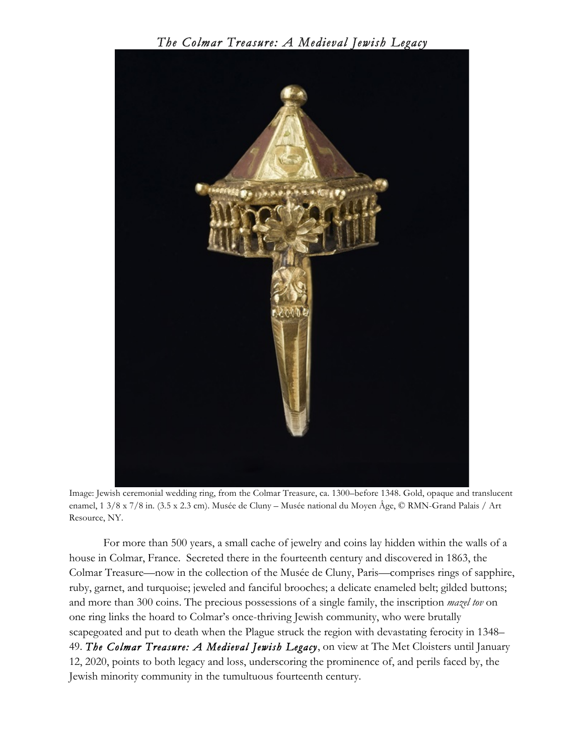## *The Colmar Treasure: A Medieval Jewish Legacy*



Image: Jewish ceremonial wedding ring, from the Colmar Treasure, ca. 1300–before 1348. Gold, opaque and translucent enamel, 1 3/8 x 7/8 in. (3.5 x 2.3 cm). Musée de Cluny – Musée national du Moyen Âge, © RMN-Grand Palais / Art Resource, NY.

For more than 500 years, a small cache of jewelry and coins lay hidden within the walls of a house in Colmar, France. Secreted there in the fourteenth century and discovered in 1863, the Colmar Treasure—now in the collection of the Musée de Cluny, Paris—comprises rings of sapphire, ruby, garnet, and turquoise; jeweled and fanciful brooches; a delicate enameled belt; gilded buttons; and more than 300 coins. The precious possessions of a single family, the inscription *mazel tov* on one ring links the hoard to Colmar's once-thriving Jewish community, who were brutally scapegoated and put to death when the Plague struck the region with devastating ferocity in 1348– 49. *The Colmar Treasure: A Medieval Jewish Legacy*, on view at The Met Cloisters until January 12, 2020, points to both legacy and loss, underscoring the prominence of, and perils faced by, the Jewish minority community in the tumultuous fourteenth century.